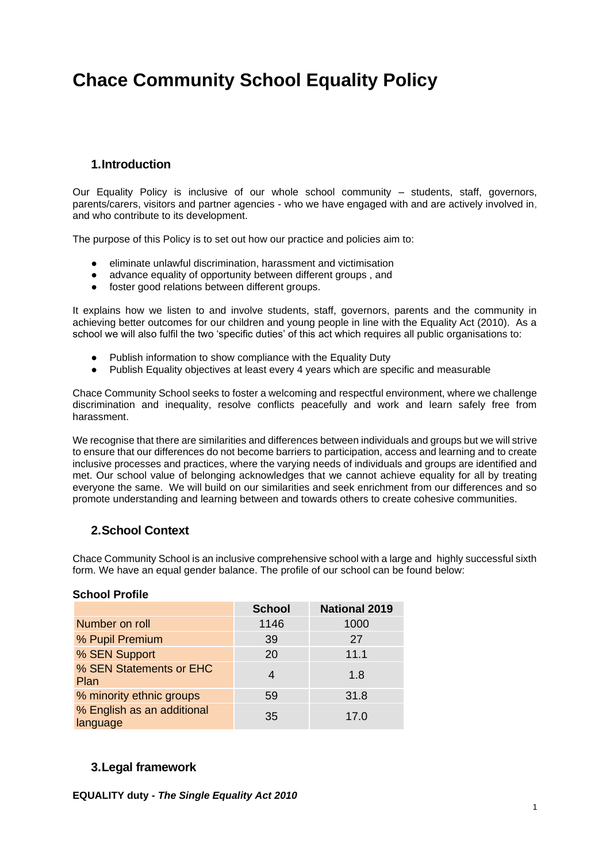# **Chace Community School Equality Policy**

## **1.Introduction**

Our Equality Policy is inclusive of our whole school community – students, staff, governors, parents/carers, visitors and partner agencies - who we have engaged with and are actively involved in, and who contribute to its development.

The purpose of this Policy is to set out how our practice and policies aim to:

- eliminate unlawful discrimination, harassment and victimisation
- advance equality of opportunity between different groups , and
- foster good relations between different groups.

It explains how we listen to and involve students, staff, governors, parents and the community in achieving better outcomes for our children and young people in line with the Equality Act (2010). As a school we will also fulfil the two 'specific duties' of this act which requires all public organisations to:

- Publish information to show compliance with the Equality Duty
- Publish Equality objectives at least every 4 years which are specific and measurable

Chace Community School seeks to foster a welcoming and respectful environment, where we challenge discrimination and inequality, resolve conflicts peacefully and work and learn safely free from harassment.

We recognise that there are similarities and differences between individuals and groups but we will strive to ensure that our differences do not become barriers to participation, access and learning and to create inclusive processes and practices, where the varying needs of individuals and groups are identified and met. Our school value of belonging acknowledges that we cannot achieve equality for all by treating everyone the same. We will build on our similarities and seek enrichment from our differences and so promote understanding and learning between and towards others to create cohesive communities.

## **2.School Context**

Chace Community School is an inclusive comprehensive school with a large and highly successful sixth form. We have an equal gender balance. The profile of our school can be found below:

#### **School Profile**

|                                        | <b>School</b> | <b>National 2019</b> |
|----------------------------------------|---------------|----------------------|
| Number on roll                         | 1146          | 1000                 |
| % Pupil Premium                        | 39            | 27                   |
| % SEN Support                          | 20            | 11.1                 |
| % SEN Statements or EHC<br>Plan        | 4             | 1.8                  |
| % minority ethnic groups               | 59            | 31.8                 |
| % English as an additional<br>language | 35            | 17.0                 |

## **3.Legal framework**

**EQUALITY duty -** *The Single Equality Act 2010*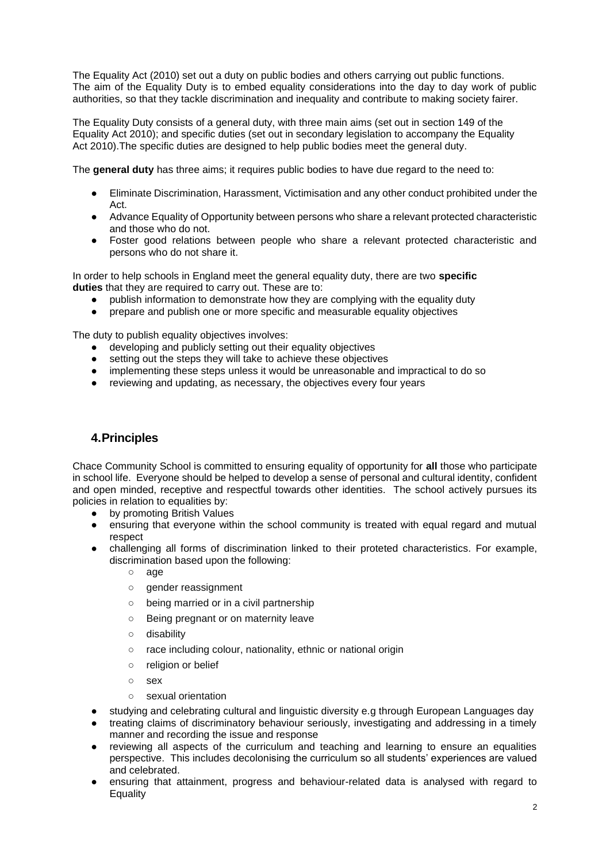The Equality Act (2010) set out a duty on public bodies and others carrying out public functions. The aim of the Equality Duty is to embed equality considerations into the day to day work of public authorities, so that they tackle discrimination and inequality and contribute to making society fairer.

The Equality Duty consists of a general duty, with three main aims (set out in section 149 of the Equality Act 2010); and specific duties (set out in secondary legislation to accompany the Equality Act 2010).The specific duties are designed to help public bodies meet the general duty.

The **general duty** has three aims; it requires public bodies to have due regard to the need to:

- Eliminate Discrimination, Harassment, Victimisation and any other conduct prohibited under the Act.
- Advance Equality of Opportunity between persons who share a relevant protected characteristic and those who do not.
- Foster good relations between people who share a relevant protected characteristic and persons who do not share it.

In order to help schools in England meet the general equality duty, there are two **specific duties** that they are required to carry out. These are to:

- publish information to demonstrate how they are complying with the equality duty
- prepare and publish one or more specific and measurable equality objectives

The duty to publish equality objectives involves:

- developing and publicly setting out their equality objectives
- setting out the steps they will take to achieve these objectives
- implementing these steps unless it would be unreasonable and impractical to do so
- reviewing and updating, as necessary, the objectives every four years

## **4.Principles**

Chace Community School is committed to ensuring equality of opportunity for **all** those who participate in school life. Everyone should be helped to develop a sense of personal and cultural identity, confident and open minded, receptive and respectful towards other identities. The school actively pursues its policies in relation to equalities by:

- by promoting British Values
- ensuring that everyone within the school community is treated with equal regard and mutual respect
- challenging all forms of discrimination linked to their proteted characteristics. For example, discrimination based upon the following:
	- age
	- gender reassignment
	- being married or in a civil partnership
	- Being pregnant or on maternity leave
	- disability
	- race including colour, nationality, ethnic or national origin
	- religion or belief
	- $O$  sex
	- sexual orientation
- studying and celebrating cultural and linguistic diversity e.g through European Languages day
- treating claims of discriminatory behaviour seriously, investigating and addressing in a timely manner and recording the issue and response
- reviewing all aspects of the curriculum and teaching and learning to ensure an equalities perspective. This includes decolonising the curriculum so all students' experiences are valued and celebrated.
- ensuring that attainment, progress and behaviour-related data is analysed with regard to **Equality**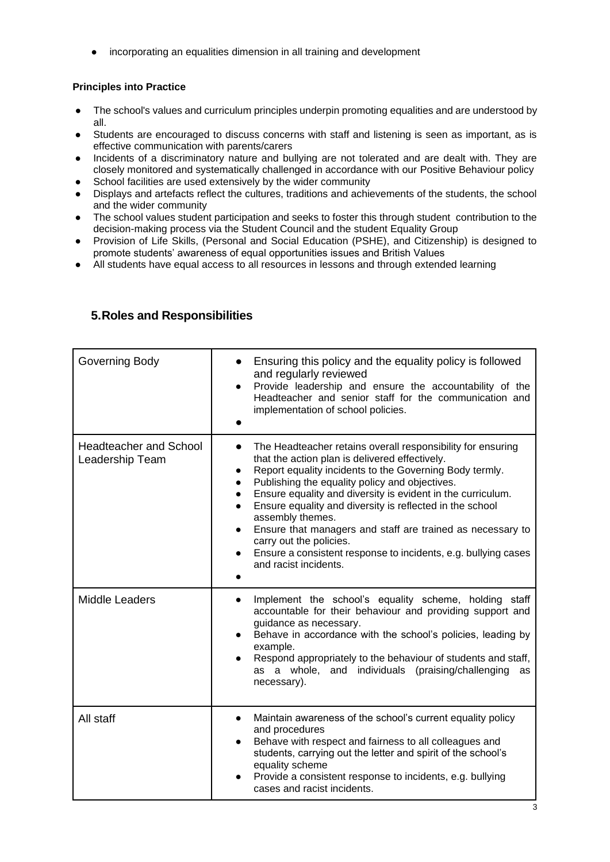● incorporating an equalities dimension in all training and development

#### **Principles into Practice**

- The school's values and curriculum principles underpin promoting equalities and are understood by all.
- Students are encouraged to discuss concerns with staff and listening is seen as important, as is effective communication with parents/carers
- Incidents of a discriminatory nature and bullying are not tolerated and are dealt with. They are closely monitored and systematically challenged in accordance with our Positive Behaviour policy
- School facilities are used extensively by the wider community
- Displays and artefacts reflect the cultures, traditions and achievements of the students, the school and the wider community
- The school values student participation and seeks to foster this through student contribution to the decision-making process via the Student Council and the student Equality Group
- Provision of Life Skills, (Personal and Social Education (PSHE), and Citizenship) is designed to promote students' awareness of equal opportunities issues and British Values
- All students have equal access to all resources in lessons and through extended learning

| <b>Governing Body</b>                            | Ensuring this policy and the equality policy is followed<br>and regularly reviewed<br>Provide leadership and ensure the accountability of the<br>$\bullet$<br>Headteacher and senior staff for the communication and<br>implementation of school policies.                                                                                                                                                                                                                                                                                                                                                                     |
|--------------------------------------------------|--------------------------------------------------------------------------------------------------------------------------------------------------------------------------------------------------------------------------------------------------------------------------------------------------------------------------------------------------------------------------------------------------------------------------------------------------------------------------------------------------------------------------------------------------------------------------------------------------------------------------------|
| <b>Headteacher and School</b><br>Leadership Team | The Headteacher retains overall responsibility for ensuring<br>that the action plan is delivered effectively.<br>Report equality incidents to the Governing Body termly.<br>$\bullet$<br>Publishing the equality policy and objectives.<br>$\bullet$<br>Ensure equality and diversity is evident in the curriculum.<br>$\bullet$<br>Ensure equality and diversity is reflected in the school<br>$\bullet$<br>assembly themes.<br>Ensure that managers and staff are trained as necessary to<br>$\bullet$<br>carry out the policies.<br>Ensure a consistent response to incidents, e.g. bullying cases<br>and racist incidents. |
| <b>Middle Leaders</b>                            | Implement the school's equality scheme, holding staff<br>$\bullet$<br>accountable for their behaviour and providing support and<br>quidance as necessary.<br>Behave in accordance with the school's policies, leading by<br>example.<br>Respond appropriately to the behaviour of students and staff,<br>as a whole, and individuals (praising/challenging<br>as<br>necessary).                                                                                                                                                                                                                                                |
| All staff                                        | Maintain awareness of the school's current equality policy<br>$\bullet$<br>and procedures<br>Behave with respect and fairness to all colleagues and<br>$\bullet$<br>students, carrying out the letter and spirit of the school's<br>equality scheme<br>Provide a consistent response to incidents, e.g. bullying<br>cases and racist incidents.                                                                                                                                                                                                                                                                                |

#### **5.Roles and Responsibilities**